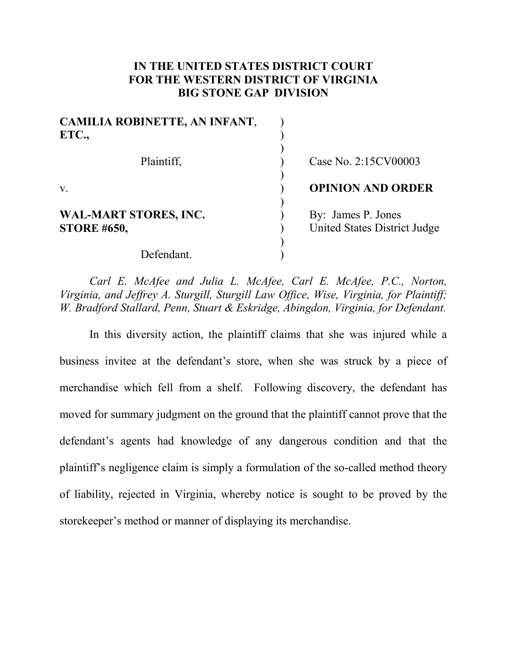# **IN THE UNITED STATES DISTRICT COURT FOR THE WESTERN DISTRICT OF VIRGINIA BIG STONE GAP DIVISION**

| <b>CAMILIA ROBINETTE, AN INFANT,</b><br>ETC.,      |                                                           |  |
|----------------------------------------------------|-----------------------------------------------------------|--|
| Plaintiff,                                         | Case No. 2:15CV00003                                      |  |
| $V_{\cdot}$                                        | <b>OPINION AND ORDER</b>                                  |  |
| <b>WAL-MART STORES, INC.</b><br><b>STORE #650,</b> | By: James P. Jones<br><b>United States District Judge</b> |  |
| Defendant.                                         |                                                           |  |

*Carl E. McAfee and Julia L. McAfee, Carl E. McAfee, P.C., Norton, Virginia, and Jeffrey A. Sturgill, Sturgill Law Office, Wise, Virginia, for Plaintiff; W. Bradford Stallard, Penn, Stuart & Eskridge, Abingdon, Virginia, for Defendant.*

In this diversity action, the plaintiff claims that she was injured while a business invitee at the defendant's store, when she was struck by a piece of merchandise which fell from a shelf. Following discovery, the defendant has moved for summary judgment on the ground that the plaintiff cannot prove that the defendant's agents had knowledge of any dangerous condition and that the plaintiff's negligence claim is simply a formulation of the so-called method theory of liability, rejected in Virginia, whereby notice is sought to be proved by the storekeeper's method or manner of displaying its merchandise.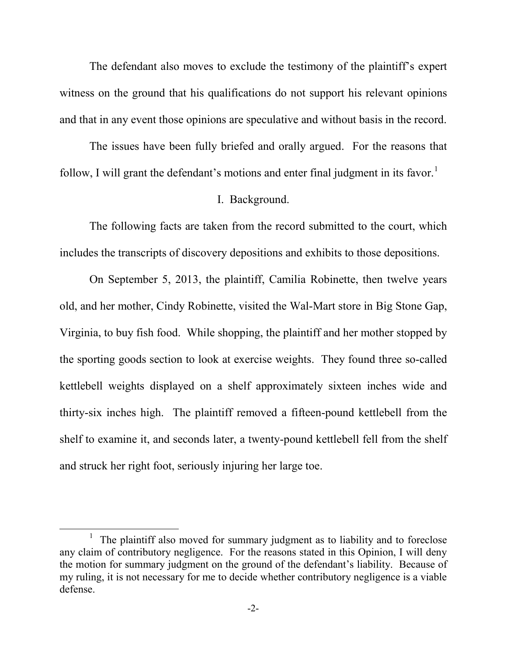The defendant also moves to exclude the testimony of the plaintiff's expert witness on the ground that his qualifications do not support his relevant opinions and that in any event those opinions are speculative and without basis in the record.

The issues have been fully briefed and orally argued. For the reasons that follow, I will grant the defendant's motions and enter final judgment in its favor.<sup>[1](#page-1-0)</sup>

#### I. Background.

The following facts are taken from the record submitted to the court, which includes the transcripts of discovery depositions and exhibits to those depositions.

On September 5, 2013, the plaintiff, Camilia Robinette, then twelve years old, and her mother, Cindy Robinette, visited the Wal-Mart store in Big Stone Gap, Virginia, to buy fish food. While shopping, the plaintiff and her mother stopped by the sporting goods section to look at exercise weights. They found three so-called kettlebell weights displayed on a shelf approximately sixteen inches wide and thirty-six inches high. The plaintiff removed a fifteen-pound kettlebell from the shelf to examine it, and seconds later, a twenty-pound kettlebell fell from the shelf and struck her right foot, seriously injuring her large toe.

<span id="page-1-0"></span><sup>&</sup>lt;u>1</u>  $1$  The plaintiff also moved for summary judgment as to liability and to foreclose any claim of contributory negligence. For the reasons stated in this Opinion, I will deny the motion for summary judgment on the ground of the defendant's liability. Because of my ruling, it is not necessary for me to decide whether contributory negligence is a viable defense.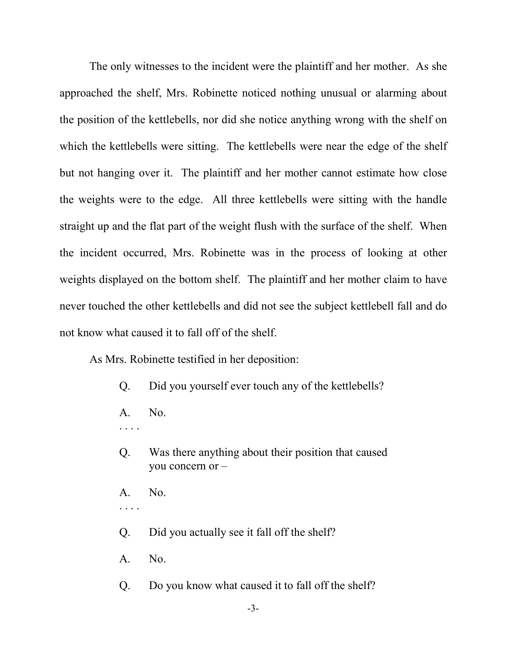The only witnesses to the incident were the plaintiff and her mother. As she approached the shelf, Mrs. Robinette noticed nothing unusual or alarming about the position of the kettlebells, nor did she notice anything wrong with the shelf on which the kettlebells were sitting. The kettlebells were near the edge of the shelf but not hanging over it. The plaintiff and her mother cannot estimate how close the weights were to the edge. All three kettlebells were sitting with the handle straight up and the flat part of the weight flush with the surface of the shelf. When the incident occurred, Mrs. Robinette was in the process of looking at other weights displayed on the bottom shelf. The plaintiff and her mother claim to have never touched the other kettlebells and did not see the subject kettlebell fall and do not know what caused it to fall off of the shelf.

As Mrs. Robinette testified in her deposition:

- Q. Did you yourself ever touch any of the kettlebells?
- A. No.
- . . . .
- Q. Was there anything about their position that caused you concern or –
- A. No.
- . . . .
- Q. Did you actually see it fall off the shelf?
- A. No.
- Q. Do you know what caused it to fall off the shelf?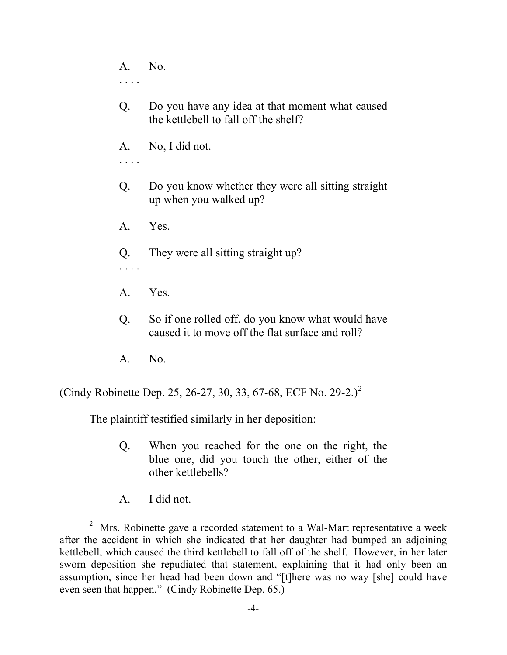A. No. . . . .

- Q. Do you have any idea at that moment what caused the kettlebell to fall off the shelf?
- A. No, I did not.
- . . . .
- Q. Do you know whether they were all sitting straight up when you walked up?
- A. Yes.
- Q. They were all sitting straight up?

. . . .

- A. Yes.
- Q. So if one rolled off, do you know what would have caused it to move off the flat surface and roll?
- A. No.

(Cindy Robinette Dep. [2](#page-3-0)5, 26-27, 30, 33, 67-68, ECF No. 29-2.)<sup>2</sup>

The plaintiff testified similarly in her deposition:

- Q. When you reached for the one on the right, the blue one, did you touch the other, either of the other kettlebells?
- A. I did not.

<span id="page-3-0"></span><sup>2</sup>  $2$  Mrs. Robinette gave a recorded statement to a Wal-Mart representative a week after the accident in which she indicated that her daughter had bumped an adjoining kettlebell, which caused the third kettlebell to fall off of the shelf. However, in her later sworn deposition she repudiated that statement, explaining that it had only been an assumption, since her head had been down and "[t]here was no way [she] could have even seen that happen." (Cindy Robinette Dep. 65.)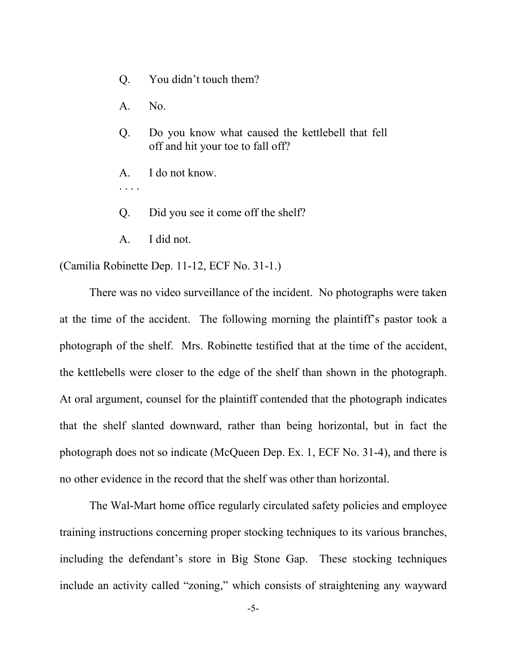- Q. You didn't touch them?
- A. No.
- Q. Do you know what caused the kettlebell that fell off and hit your toe to fall off?
- A. I do not know.
- . . . .
- Q. Did you see it come off the shelf?
- A. I did not.

(Camilia Robinette Dep. 11-12, ECF No. 31-1.)

There was no video surveillance of the incident. No photographs were taken at the time of the accident. The following morning the plaintiff's pastor took a photograph of the shelf. Mrs. Robinette testified that at the time of the accident, the kettlebells were closer to the edge of the shelf than shown in the photograph. At oral argument, counsel for the plaintiff contended that the photograph indicates that the shelf slanted downward, rather than being horizontal, but in fact the photograph does not so indicate (McQueen Dep. Ex. 1, ECF No. 31-4), and there is no other evidence in the record that the shelf was other than horizontal.

The Wal-Mart home office regularly circulated safety policies and employee training instructions concerning proper stocking techniques to its various branches, including the defendant's store in Big Stone Gap. These stocking techniques include an activity called "zoning," which consists of straightening any wayward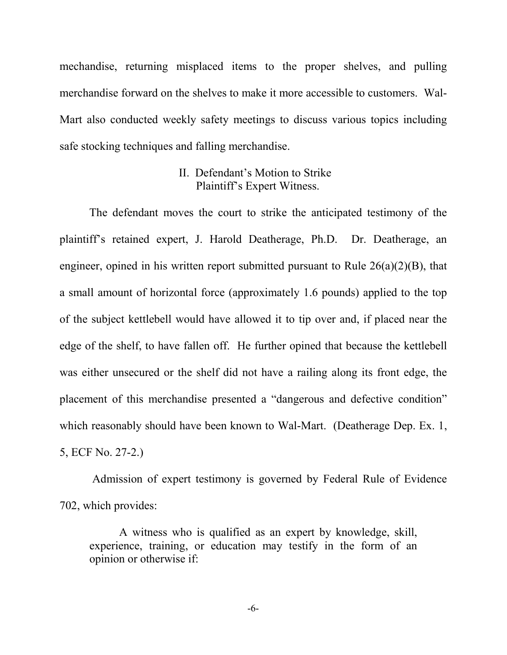mechandise, returning misplaced items to the proper shelves, and pulling merchandise forward on the shelves to make it more accessible to customers. Wal-Mart also conducted weekly safety meetings to discuss various topics including safe stocking techniques and falling merchandise.

## II. Defendant's Motion to Strike Plaintiff's Expert Witness.

The defendant moves the court to strike the anticipated testimony of the plaintiff's retained expert, J. Harold Deatherage, Ph.D. Dr. Deatherage, an engineer, opined in his written report submitted pursuant to Rule 26(a)(2)(B), that a small amount of horizontal force (approximately 1.6 pounds) applied to the top of the subject kettlebell would have allowed it to tip over and, if placed near the edge of the shelf, to have fallen off. He further opined that because the kettlebell was either unsecured or the shelf did not have a railing along its front edge, the placement of this merchandise presented a "dangerous and defective condition" which reasonably should have been known to Wal-Mart. (Deatherage Dep. Ex. 1, 5, ECF No. 27-2.)

Admission of expert testimony is governed by Federal Rule of Evidence 702, which provides:

A witness who is qualified as an expert by knowledge, skill, experience, training, or education may testify in the form of an opinion or otherwise if:

-6-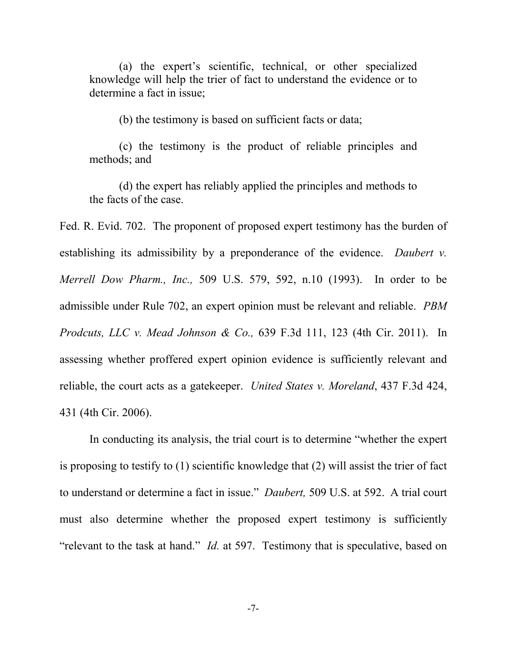(a) the expert's scientific, technical, or other specialized knowledge will help the trier of fact to understand the evidence or to determine a fact in issue;

(b) the testimony is based on sufficient facts or data;

(c) the testimony is the product of reliable principles and methods; and

(d) the expert has reliably applied the principles and methods to the facts of the case.

Fed. R. Evid. 702. The proponent of proposed expert testimony has the burden of establishing its admissibility by a preponderance of the evidence. *Daubert v. Merrell Dow Pharm., Inc.,* 509 U.S. 579, 592, n.10 (1993). In order to be admissible under Rule 702, an expert opinion must be relevant and reliable. *PBM Prodcuts, LLC v. Mead Johnson & Co.,* 639 F.3d 111, 123 (4th Cir. 2011).In assessing whether proffered expert opinion evidence is sufficiently relevant and reliable, the court acts as a gatekeeper. *United States v. Moreland*, 437 F.3d 424, 431 (4th Cir. 2006).

In conducting its analysis, the trial court is to determine "whether the expert is proposing to testify to (1) scientific knowledge that (2) will assist the trier of fact to understand or determine a fact in issue." *Daubert,* 509 U.S. at 592. A trial court must also determine whether the proposed expert testimony is sufficiently "relevant to the task at hand." *Id.* at 597. Testimony that is speculative, based on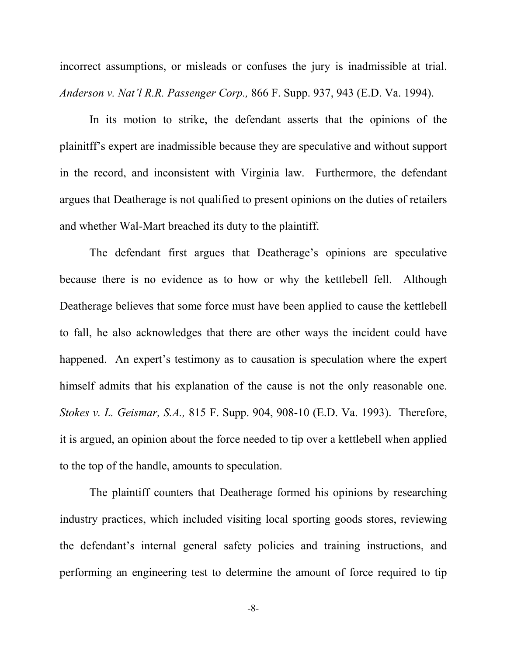incorrect assumptions, or misleads or confuses the jury is inadmissible at trial. *Anderson v. Nat'l R.R. Passenger Corp.,* 866 F. Supp. 937, 943 (E.D. Va. 1994).

In its motion to strike, the defendant asserts that the opinions of the plainitff's expert are inadmissible because they are speculative and without support in the record, and inconsistent with Virginia law. Furthermore, the defendant argues that Deatherage is not qualified to present opinions on the duties of retailers and whether Wal-Mart breached its duty to the plaintiff.

The defendant first argues that Deatherage's opinions are speculative because there is no evidence as to how or why the kettlebell fell. Although Deatherage believes that some force must have been applied to cause the kettlebell to fall, he also acknowledges that there are other ways the incident could have happened. An expert's testimony as to causation is speculation where the expert himself admits that his explanation of the cause is not the only reasonable one. *Stokes v. L. Geismar, S.A.,* 815 F. Supp. 904, 908-10 (E.D. Va. 1993). Therefore, it is argued, an opinion about the force needed to tip over a kettlebell when applied to the top of the handle, amounts to speculation.

The plaintiff counters that Deatherage formed his opinions by researching industry practices, which included visiting local sporting goods stores, reviewing the defendant's internal general safety policies and training instructions, and performing an engineering test to determine the amount of force required to tip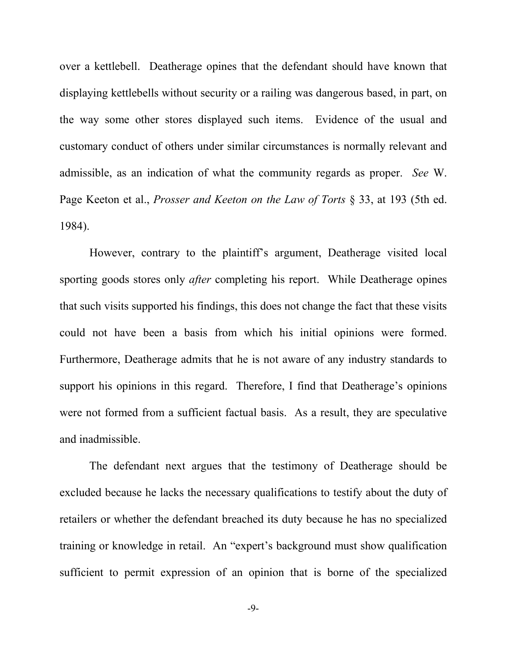over a kettlebell. Deatherage opines that the defendant should have known that displaying kettlebells without security or a railing was dangerous based, in part, on the way some other stores displayed such items. Evidence of the usual and customary conduct of others under similar circumstances is normally relevant and admissible, as an indication of what the community regards as proper. *See* W. Page Keeton et al., *Prosser and Keeton on the Law of Torts* § 33, at 193 (5th ed. 1984).

However, contrary to the plaintiff's argument, Deatherage visited local sporting goods stores only *after* completing his report. While Deatherage opines that such visits supported his findings, this does not change the fact that these visits could not have been a basis from which his initial opinions were formed. Furthermore, Deatherage admits that he is not aware of any industry standards to support his opinions in this regard. Therefore, I find that Deatherage's opinions were not formed from a sufficient factual basis. As a result, they are speculative and inadmissible.

The defendant next argues that the testimony of Deatherage should be excluded because he lacks the necessary qualifications to testify about the duty of retailers or whether the defendant breached its duty because he has no specialized training or knowledge in retail. An "expert's background must show qualification sufficient to permit expression of an opinion that is borne of the specialized

-9-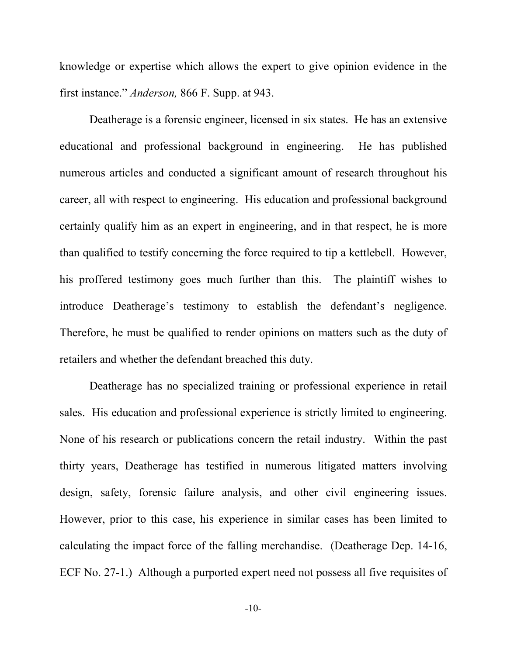knowledge or expertise which allows the expert to give opinion evidence in the first instance." *Anderson,* 866 F. Supp. at 943.

Deatherage is a forensic engineer, licensed in six states. He has an extensive educational and professional background in engineering. He has published numerous articles and conducted a significant amount of research throughout his career, all with respect to engineering. His education and professional background certainly qualify him as an expert in engineering, and in that respect, he is more than qualified to testify concerning the force required to tip a kettlebell. However, his proffered testimony goes much further than this. The plaintiff wishes to introduce Deatherage's testimony to establish the defendant's negligence. Therefore, he must be qualified to render opinions on matters such as the duty of retailers and whether the defendant breached this duty.

Deatherage has no specialized training or professional experience in retail sales. His education and professional experience is strictly limited to engineering. None of his research or publications concern the retail industry. Within the past thirty years, Deatherage has testified in numerous litigated matters involving design, safety, forensic failure analysis, and other civil engineering issues. However, prior to this case, his experience in similar cases has been limited to calculating the impact force of the falling merchandise. (Deatherage Dep. 14-16, ECF No. 27-1.) Although a purported expert need not possess all five requisites of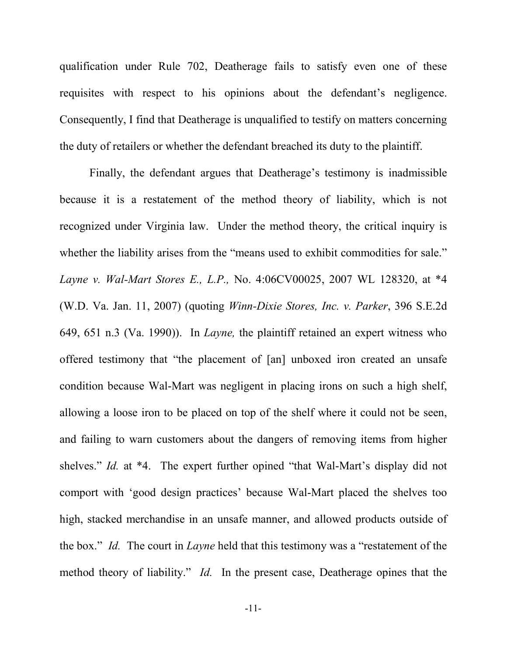qualification under Rule 702, Deatherage fails to satisfy even one of these requisites with respect to his opinions about the defendant's negligence. Consequently, I find that Deatherage is unqualified to testify on matters concerning the duty of retailers or whether the defendant breached its duty to the plaintiff.

Finally, the defendant argues that Deatherage's testimony is inadmissible because it is a restatement of the method theory of liability, which is not recognized under Virginia law. Under the method theory, the critical inquiry is whether the liability arises from the "means used to exhibit commodities for sale." *Layne v. Wal-Mart Stores E., L.P.,* No. 4:06CV00025, 2007 WL 128320, at \*4 (W.D. Va. Jan. 11, 2007) (quoting *Winn-Dixie Stores, Inc. v. Parker*, 396 S.E.2d 649, 651 n.3 (Va. 1990)). In *Layne,* the plaintiff retained an expert witness who offered testimony that "the placement of [an] unboxed iron created an unsafe condition because Wal-Mart was negligent in placing irons on such a high shelf, allowing a loose iron to be placed on top of the shelf where it could not be seen, and failing to warn customers about the dangers of removing items from higher shelves." *Id.* at \*4. The expert further opined "that Wal-Mart's display did not comport with 'good design practices' because Wal-Mart placed the shelves too high, stacked merchandise in an unsafe manner, and allowed products outside of the box." *Id.* The court in *Layne* held that this testimony was a "restatement of the method theory of liability." *Id.* In the present case, Deatherage opines that the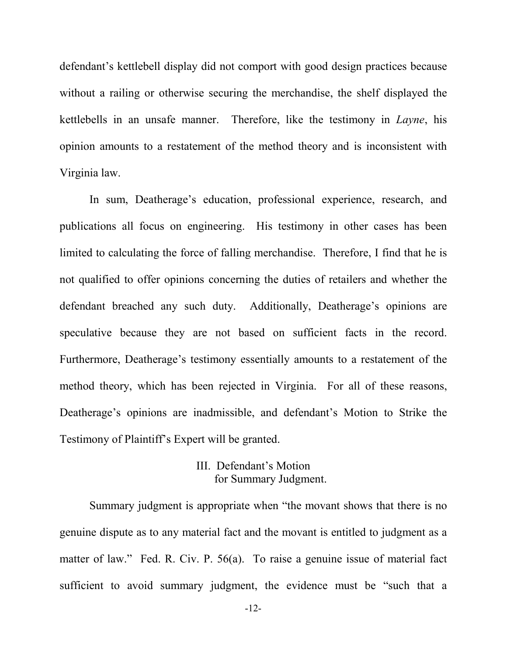defendant's kettlebell display did not comport with good design practices because without a railing or otherwise securing the merchandise, the shelf displayed the kettlebells in an unsafe manner. Therefore, like the testimony in *Layne*, his opinion amounts to a restatement of the method theory and is inconsistent with Virginia law.

In sum, Deatherage's education, professional experience, research, and publications all focus on engineering. His testimony in other cases has been limited to calculating the force of falling merchandise. Therefore, I find that he is not qualified to offer opinions concerning the duties of retailers and whether the defendant breached any such duty. Additionally, Deatherage's opinions are speculative because they are not based on sufficient facts in the record. Furthermore, Deatherage's testimony essentially amounts to a restatement of the method theory, which has been rejected in Virginia. For all of these reasons, Deatherage's opinions are inadmissible, and defendant's Motion to Strike the Testimony of Plaintiff's Expert will be granted.

## III. Defendant's Motion for Summary Judgment.

Summary judgment is appropriate when "the movant shows that there is no genuine dispute as to any material fact and the movant is entitled to judgment as a matter of law." Fed. R. Civ. P. 56(a). To raise a genuine issue of material fact sufficient to avoid summary judgment, the evidence must be "such that a

-12-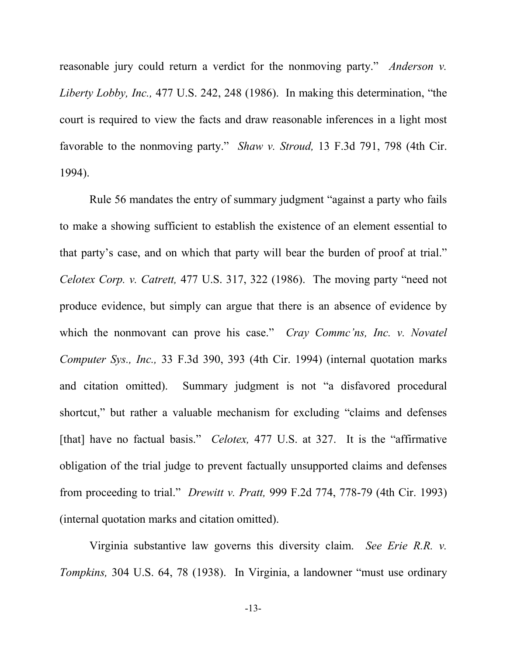reasonable jury could return a verdict for the nonmoving party." *Anderson v. Liberty Lobby, Inc.,* 477 U.S. 242, 248 (1986). In making this determination, "the court is required to view the facts and draw reasonable inferences in a light most favorable to the nonmoving party." *Shaw v. Stroud,* 13 F.3d 791, 798 (4th Cir. 1994).

Rule 56 mandates the entry of summary judgment "against a party who fails to make a showing sufficient to establish the existence of an element essential to that party's case, and on which that party will bear the burden of proof at trial." *Celotex Corp. v. Catrett,* 477 U.S. 317, 322 (1986). The moving party "need not produce evidence, but simply can argue that there is an absence of evidence by which the nonmovant can prove his case." *Cray Comme'ns, Inc. v. Novatel Computer Sys., Inc.,* 33 F.3d 390, 393 (4th Cir. 1994) (internal quotation marks and citation omitted). Summary judgment is not "a disfavored procedural shortcut," but rather a valuable mechanism for excluding "claims and defenses [that] have no factual basis." *Celotex*, 477 U.S. at 327. It is the "affirmative" obligation of the trial judge to prevent factually unsupported claims and defenses from proceeding to trial." *Drewitt v. Pratt,* 999 F.2d 774, 778-79 (4th Cir. 1993) (internal quotation marks and citation omitted).

Virginia substantive law governs this diversity claim. *See Erie R.R. v. Tompkins,* 304 U.S. 64, 78 (1938). In Virginia, a landowner "must use ordinary

-13-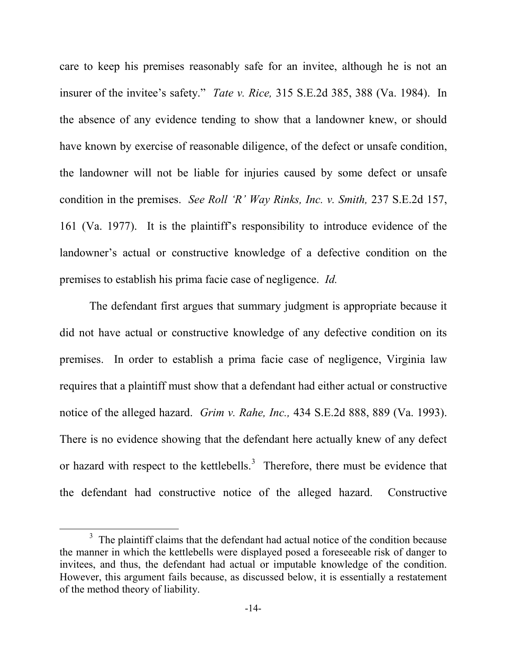care to keep his premises reasonably safe for an invitee, although he is not an insurer of the invitee's safety." *Tate v. Rice,* 315 S.E.2d 385, 388 (Va. 1984). In the absence of any evidence tending to show that a landowner knew, or should have known by exercise of reasonable diligence, of the defect or unsafe condition, the landowner will not be liable for injuries caused by some defect or unsafe condition in the premises. *See Roll 'R' Way Rinks, Inc. v. Smith,* 237 S.E.2d 157, 161 (Va. 1977). It is the plaintiff's responsibility to introduce evidence of the landowner's actual or constructive knowledge of a defective condition on the premises to establish his prima facie case of negligence. *Id.* 

The defendant first argues that summary judgment is appropriate because it did not have actual or constructive knowledge of any defective condition on its premises. In order to establish a prima facie case of negligence, Virginia law requires that a plaintiff must show that a defendant had either actual or constructive notice of the alleged hazard. *Grim v. Rahe, Inc.,* 434 S.E.2d 888, 889 (Va. 1993). There is no evidence showing that the defendant here actually knew of any defect or hazard with respect to the kettlebells.<sup>[3](#page-13-0)</sup> Therefore, there must be evidence that the defendant had constructive notice of the alleged hazard. Constructive

<span id="page-13-0"></span> $\frac{3}{3}$  $3$  The plaintiff claims that the defendant had actual notice of the condition because the manner in which the kettlebells were displayed posed a foreseeable risk of danger to invitees, and thus, the defendant had actual or imputable knowledge of the condition. However, this argument fails because, as discussed below, it is essentially a restatement of the method theory of liability.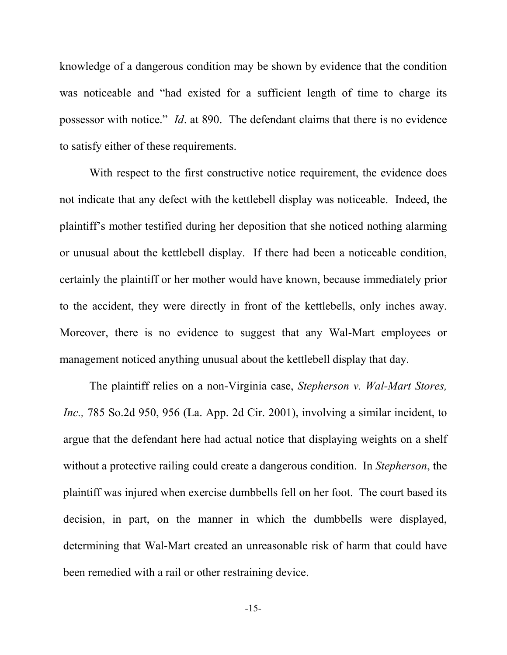knowledge of a dangerous condition may be shown by evidence that the condition was noticeable and "had existed for a sufficient length of time to charge its possessor with notice." *Id*. at 890. The defendant claims that there is no evidence to satisfy either of these requirements.

With respect to the first constructive notice requirement, the evidence does not indicate that any defect with the kettlebell display was noticeable. Indeed, the plaintiff's mother testified during her deposition that she noticed nothing alarming or unusual about the kettlebell display. If there had been a noticeable condition, certainly the plaintiff or her mother would have known, because immediately prior to the accident, they were directly in front of the kettlebells, only inches away. Moreover, there is no evidence to suggest that any Wal-Mart employees or management noticed anything unusual about the kettlebell display that day.

The plaintiff relies on a non-Virginia case, *Stepherson v. Wal-Mart Stores, Inc.,* 785 So.2d 950, 956 (La. App. 2d Cir. 2001), involving a similar incident, to argue that the defendant here had actual notice that displaying weights on a shelf without a protective railing could create a dangerous condition. In *Stepherson*, the plaintiff was injured when exercise dumbbells fell on her foot. The court based its decision, in part, on the manner in which the dumbbells were displayed, determining that Wal-Mart created an unreasonable risk of harm that could have been remedied with a rail or other restraining device.

-15-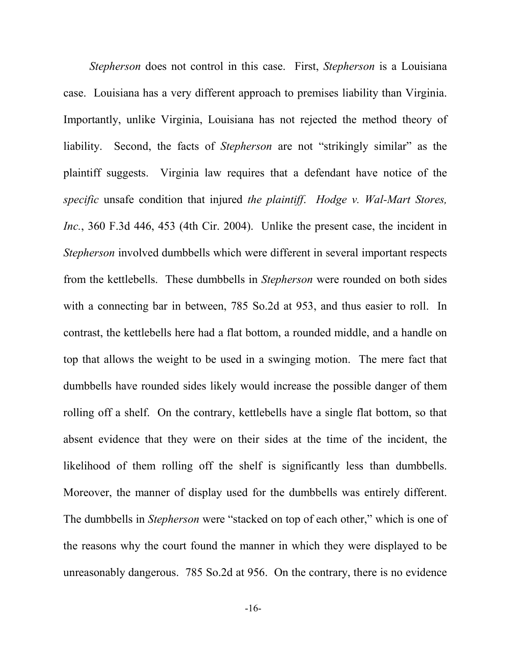*Stepherson* does not control in this case. First, *Stepherson* is a Louisiana case. Louisiana has a very different approach to premises liability than Virginia. Importantly, unlike Virginia, Louisiana has not rejected the method theory of liability. Second, the facts of *Stepherson* are not "strikingly similar" as the plaintiff suggests. Virginia law requires that a defendant have notice of the *specific* unsafe condition that injured *the plaintiff*. *Hodge v. Wal-Mart Stores, Inc.*, 360 F.3d 446, 453 (4th Cir. 2004). Unlike the present case, the incident in *Stepherson* involved dumbbells which were different in several important respects from the kettlebells. These dumbbells in *Stepherson* were rounded on both sides with a connecting bar in between, 785 So.2d at 953, and thus easier to roll. In contrast, the kettlebells here had a flat bottom, a rounded middle, and a handle on top that allows the weight to be used in a swinging motion. The mere fact that dumbbells have rounded sides likely would increase the possible danger of them rolling off a shelf. On the contrary, kettlebells have a single flat bottom, so that absent evidence that they were on their sides at the time of the incident, the likelihood of them rolling off the shelf is significantly less than dumbbells. Moreover, the manner of display used for the dumbbells was entirely different. The dumbbells in *Stepherson* were "stacked on top of each other," which is one of the reasons why the court found the manner in which they were displayed to be unreasonably dangerous. 785 So.2d at 956. On the contrary, there is no evidence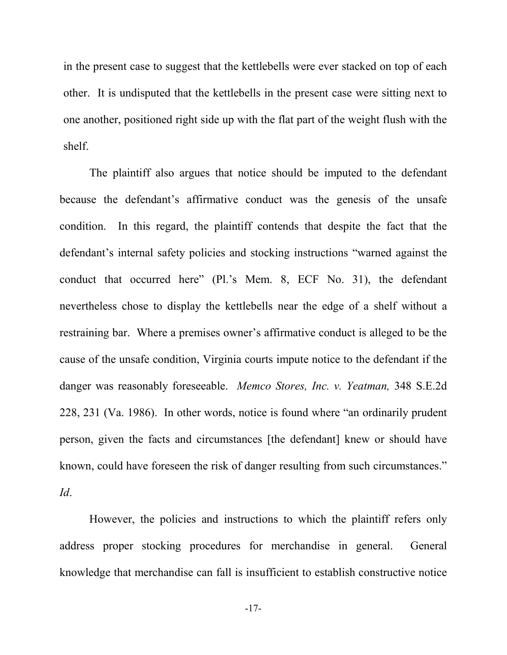in the present case to suggest that the kettlebells were ever stacked on top of each other. It is undisputed that the kettlebells in the present case were sitting next to one another, positioned right side up with the flat part of the weight flush with the shelf.

The plaintiff also argues that notice should be imputed to the defendant because the defendant's affirmative conduct was the genesis of the unsafe condition. In this regard, the plaintiff contends that despite the fact that the defendant's internal safety policies and stocking instructions "warned against the conduct that occurred here" (Pl.'s Mem. 8, ECF No. 31), the defendant nevertheless chose to display the kettlebells near the edge of a shelf without a restraining bar. Where a premises owner's affirmative conduct is alleged to be the cause of the unsafe condition, Virginia courts impute notice to the defendant if the danger was reasonably foreseeable. *Memco Stores, Inc. v. Yeatman,* 348 S.E.2d 228, 231 (Va. 1986). In other words, notice is found where "an ordinarily prudent person, given the facts and circumstances [the defendant] knew or should have known, could have foreseen the risk of danger resulting from such circumstances." *Id*.

However, the policies and instructions to which the plaintiff refers only address proper stocking procedures for merchandise in general. General knowledge that merchandise can fall is insufficient to establish constructive notice

-17-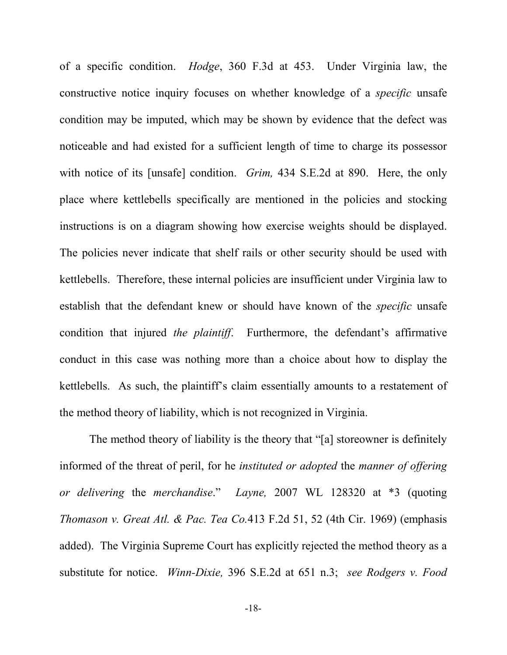of a specific condition. *Hodge*, 360 F.3d at 453. Under Virginia law, the constructive notice inquiry focuses on whether knowledge of a *specific* unsafe condition may be imputed, which may be shown by evidence that the defect was noticeable and had existed for a sufficient length of time to charge its possessor with notice of its [unsafe] condition. *Grim,* 434 S.E.2d at 890. Here, the only place where kettlebells specifically are mentioned in the policies and stocking instructions is on a diagram showing how exercise weights should be displayed. The policies never indicate that shelf rails or other security should be used with kettlebells. Therefore, these internal policies are insufficient under Virginia law to establish that the defendant knew or should have known of the *specific* unsafe condition that injured *the plaintiff*. Furthermore, the defendant's affirmative conduct in this case was nothing more than a choice about how to display the kettlebells. As such, the plaintiff's claim essentially amounts to a restatement of the method theory of liability, which is not recognized in Virginia.

The method theory of liability is the theory that "[a] storeowner is definitely informed of the threat of peril, for he *instituted or adopted* the *manner of offering or delivering* the *merchandise*." *Layne,* 2007 WL 128320 at \*3 (quoting *Thomason v. Great Atl. & Pac. Tea Co.*413 F.2d 51, 52 (4th Cir. 1969) (emphasis added). The Virginia Supreme Court has explicitly rejected the method theory as a substitute for notice. *Winn-Dixie,* 396 S.E.2d at 651 n.3; *see Rodgers v. Food*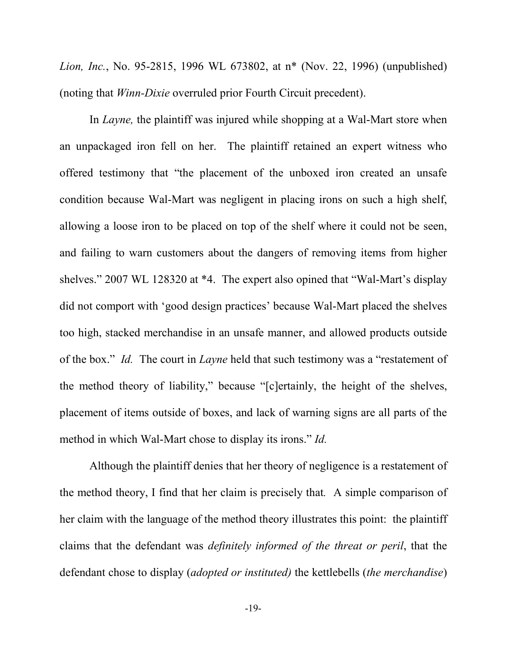*Lion, Inc.*, No. 95-2815, 1996 WL 673802, at n\* (Nov. 22, 1996) (unpublished) (noting that *Winn-Dixie* overruled prior Fourth Circuit precedent).

In *Layne*, the plaintiff was injured while shopping at a Wal-Mart store when an unpackaged iron fell on her. The plaintiff retained an expert witness who offered testimony that "the placement of the unboxed iron created an unsafe condition because Wal-Mart was negligent in placing irons on such a high shelf, allowing a loose iron to be placed on top of the shelf where it could not be seen, and failing to warn customers about the dangers of removing items from higher shelves." 2007 WL 128320 at \*4. The expert also opined that "Wal-Mart's display did not comport with 'good design practices' because Wal-Mart placed the shelves too high, stacked merchandise in an unsafe manner, and allowed products outside of the box." *Id.* The court in *Layne* held that such testimony was a "restatement of the method theory of liability," because "[c]ertainly, the height of the shelves, placement of items outside of boxes, and lack of warning signs are all parts of the method in which Wal-Mart chose to display its irons." *Id.* 

Although the plaintiff denies that her theory of negligence is a restatement of the method theory, I find that her claim is precisely that*.* A simple comparison of her claim with the language of the method theory illustrates this point: the plaintiff claims that the defendant was *definitely informed of the threat or peril*, that the defendant chose to display (*adopted or instituted)* the kettlebells (*the merchandise*)

-19-